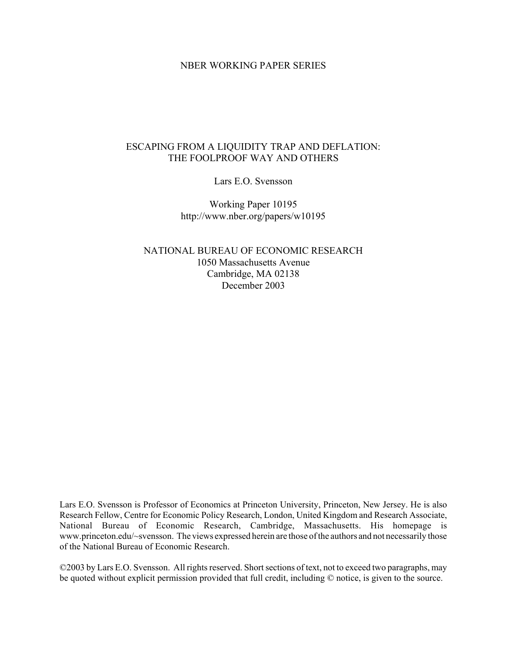#### NBER WORKING PAPER SERIES

### ESCAPING FROM A LIQUIDITY TRAP AND DEFLATION: THE FOOLPROOF WAY AND OTHERS

Lars E.O. Svensson

Working Paper 10195 http://www.nber.org/papers/w10195

NATIONAL BUREAU OF ECONOMIC RESEARCH 1050 Massachusetts Avenue Cambridge, MA 02138 December 2003

Lars E.O. Svensson is Professor of Economics at Princeton University, Princeton, New Jersey. He is also Research Fellow, Centre for Economic Policy Research, London, United Kingdom and Research Associate, National Bureau of Economic Research, Cambridge, Massachusetts. His homepage is www.princeton.edu/~svensson. The views expressed herein are those of the authors and not necessarily those of the National Bureau of Economic Research.

©2003 by Lars E.O. Svensson. All rights reserved. Short sections of text, not to exceed two paragraphs, may be quoted without explicit permission provided that full credit, including © notice, is given to the source.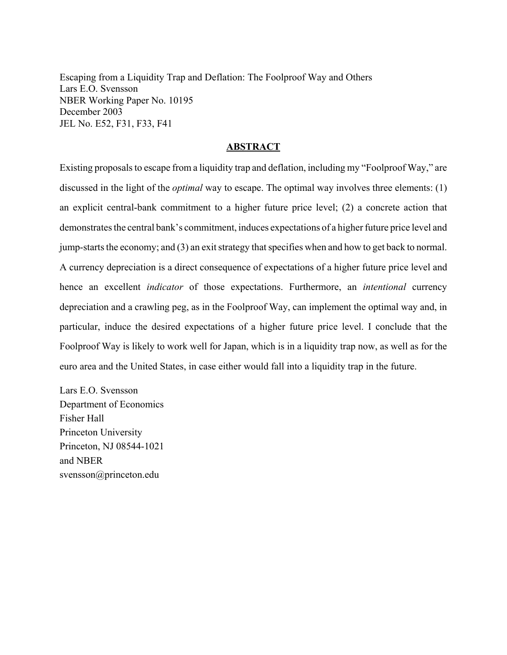Escaping from a Liquidity Trap and Deflation: The Foolproof Way and Others Lars E.O. Svensson NBER Working Paper No. 10195 December 2003 JEL No. E52, F31, F33, F41

#### **ABSTRACT**

Existing proposals to escape from a liquidity trap and deflation, including my "Foolproof Way," are discussed in the light of the *optimal* way to escape. The optimal way involves three elements: (1) an explicit central-bank commitment to a higher future price level; (2) a concrete action that demonstrates the central bank's commitment, induces expectations of a higher future price level and jump-starts the economy; and (3) an exit strategy that specifies when and how to get back to normal. A currency depreciation is a direct consequence of expectations of a higher future price level and hence an excellent *indicator* of those expectations. Furthermore, an *intentional* currency depreciation and a crawling peg, as in the Foolproof Way, can implement the optimal way and, in particular, induce the desired expectations of a higher future price level. I conclude that the Foolproof Way is likely to work well for Japan, which is in a liquidity trap now, as well as for the euro area and the United States, in case either would fall into a liquidity trap in the future.

Lars E.O. Svensson Department of Economics Fisher Hall Princeton University Princeton, NJ 08544-1021 and NBER svensson@princeton.edu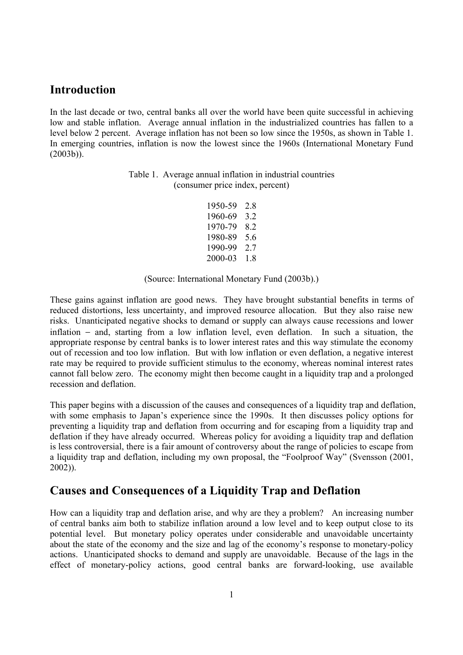## **Introduction**

In the last decade or two, central banks all over the world have been quite successful in achieving low and stable inflation. Average annual inflation in the industrialized countries has fallen to a level below 2 percent. Average inflation has not been so low since the 1950s, as shown in Table 1. In emerging countries, inflation is now the lowest since the 1960s (International Monetary Fund (2003b)).

> Table 1. Average annual inflation in industrial countries (consumer price index, percent)

> > 1950-59 2.8 1960-69 3.2 1970-79 8.2 1980-89 5.6 1990-99 2.7 2000-03 1.8

(Source: International Monetary Fund (2003b).)

These gains against inflation are good news. They have brought substantial benefits in terms of reduced distortions, less uncertainty, and improved resource allocation. But they also raise new risks. Unanticipated negative shocks to demand or supply can always cause recessions and lower inflation − and, starting from a low inflation level, even deflation. In such a situation, the appropriate response by central banks is to lower interest rates and this way stimulate the economy out of recession and too low inflation. But with low inflation or even deflation, a negative interest rate may be required to provide sufficient stimulus to the economy, whereas nominal interest rates cannot fall below zero. The economy might then become caught in a liquidity trap and a prolonged recession and deflation.

This paper begins with a discussion of the causes and consequences of a liquidity trap and deflation, with some emphasis to Japan's experience since the 1990s. It then discusses policy options for preventing a liquidity trap and deflation from occurring and for escaping from a liquidity trap and deflation if they have already occurred. Whereas policy for avoiding a liquidity trap and deflation is less controversial, there is a fair amount of controversy about the range of policies to escape from a liquidity trap and deflation, including my own proposal, the "Foolproof Way" (Svensson (2001, 2002)).

# **Causes and Consequences of a Liquidity Trap and Deflation**

How can a liquidity trap and deflation arise, and why are they a problem? An increasing number of central banks aim both to stabilize inflation around a low level and to keep output close to its potential level. But monetary policy operates under considerable and unavoidable uncertainty about the state of the economy and the size and lag of the economy's response to monetary-policy actions. Unanticipated shocks to demand and supply are unavoidable. Because of the lags in the effect of monetary-policy actions, good central banks are forward-looking, use available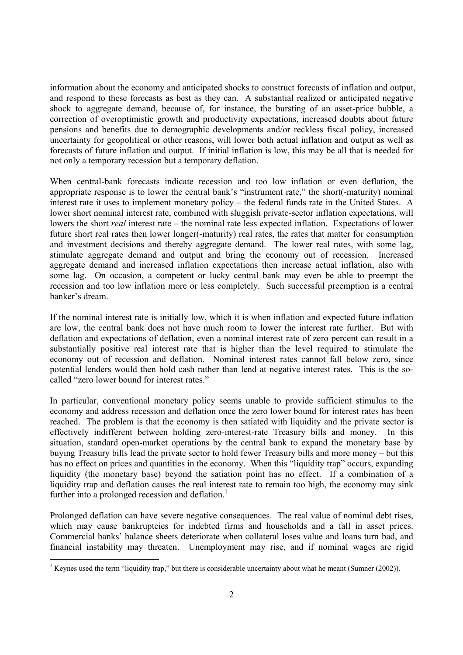information about the economy and anticipated shocks to construct forecasts of inflation and output, and respond to these forecasts as best as they can. A substantial realized or anticipated negative shock to aggregate demand, because of, for instance, the bursting of an asset-price bubble, a correction of overoptimistic growth and productivity expectations, increased doubts about future pensions and benefits due to demographic developments and/or reckless fiscal policy, increased uncertainty for geopolitical or other reasons, will lower both actual inflation and output as well as forecasts of future inflation and output. If initial inflation is low, this may be all that is needed for not only a temporary recession but a temporary deflation.

When central-bank forecasts indicate recession and too low inflation or even deflation, the appropriate response is to lower the central bank's "instrument rate," the short(-maturity) nominal interest rate it uses to implement monetary policy – the federal funds rate in the United States. A lower short nominal interest rate, combined with sluggish private-sector inflation expectations, will lowers the short *real* interest rate – the nominal rate less expected inflation. Expectations of lower future short real rates then lower longer(-maturity) real rates, the rates that matter for consumption and investment decisions and thereby aggregate demand. The lower real rates, with some lag, stimulate aggregate demand and output and bring the economy out of recession. Increased aggregate demand and increased inflation expectations then increase actual inflation, also with some lag. On occasion, a competent or lucky central bank may even be able to preempt the recession and too low inflation more or less completely. Such successful preemption is a central banker's dream.

If the nominal interest rate is initially low, which it is when inflation and expected future inflation are low, the central bank does not have much room to lower the interest rate further. But with deflation and expectations of deflation, even a nominal interest rate of zero percent can result in a substantially positive real interest rate that is higher than the level required to stimulate the economy out of recession and deflation. Nominal interest rates cannot fall below zero, since potential lenders would then hold cash rather than lend at negative interest rates. This is the socalled "zero lower bound for interest rates."

In particular, conventional monetary policy seems unable to provide sufficient stimulus to the economy and address recession and deflation once the zero lower bound for interest rates has been reached. The problem is that the economy is then satiated with liquidity and the private sector is effectively indifferent between holding zero-interest-rate Treasury bills and money. In this situation, standard open-market operations by the central bank to expand the monetary base by buying Treasury bills lead the private sector to hold fewer Treasury bills and more money – but this has no effect on prices and quantities in the economy. When this "liquidity trap" occurs, expanding liquidity (the monetary base) beyond the satiation point has no effect. If a combination of a liquidity trap and deflation causes the real interest rate to remain too high, the economy may sink further into a prolonged recession and deflation.<sup>1</sup>

Prolonged deflation can have severe negative consequences. The real value of nominal debt rises, which may cause bankruptcies for indebted firms and households and a fall in asset prices. Commercial banks' balance sheets deteriorate when collateral loses value and loans turn bad, and financial instability may threaten. Unemployment may rise, and if nominal wages are rigid

<sup>&</sup>lt;sup>1</sup> Keynes used the term "liquidity trap," but there is considerable uncertainty about what he meant (Sumner (2002)).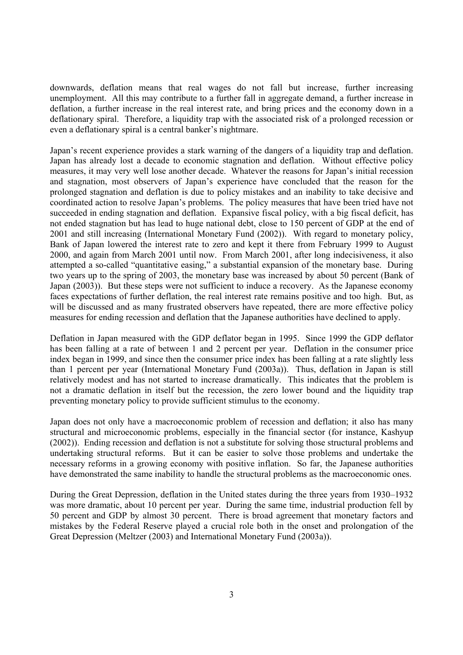downwards, deflation means that real wages do not fall but increase, further increasing unemployment. All this may contribute to a further fall in aggregate demand, a further increase in deflation, a further increase in the real interest rate, and bring prices and the economy down in a deflationary spiral. Therefore, a liquidity trap with the associated risk of a prolonged recession or even a deflationary spiral is a central banker's nightmare.

Japan's recent experience provides a stark warning of the dangers of a liquidity trap and deflation. Japan has already lost a decade to economic stagnation and deflation. Without effective policy measures, it may very well lose another decade. Whatever the reasons for Japan's initial recession and stagnation, most observers of Japan's experience have concluded that the reason for the prolonged stagnation and deflation is due to policy mistakes and an inability to take decisive and coordinated action to resolve Japan's problems. The policy measures that have been tried have not succeeded in ending stagnation and deflation. Expansive fiscal policy, with a big fiscal deficit, has not ended stagnation but has lead to huge national debt, close to 150 percent of GDP at the end of 2001 and still increasing (International Monetary Fund (2002)). With regard to monetary policy, Bank of Japan lowered the interest rate to zero and kept it there from February 1999 to August 2000, and again from March 2001 until now. From March 2001, after long indecisiveness, it also attempted a so-called "quantitative easing," a substantial expansion of the monetary base. During two years up to the spring of 2003, the monetary base was increased by about 50 percent (Bank of Japan (2003)). But these steps were not sufficient to induce a recovery. As the Japanese economy faces expectations of further deflation, the real interest rate remains positive and too high. But, as will be discussed and as many frustrated observers have repeated, there are more effective policy measures for ending recession and deflation that the Japanese authorities have declined to apply.

Deflation in Japan measured with the GDP deflator began in 1995. Since 1999 the GDP deflator has been falling at a rate of between 1 and 2 percent per year. Deflation in the consumer price index began in 1999, and since then the consumer price index has been falling at a rate slightly less than 1 percent per year (International Monetary Fund (2003a)). Thus, deflation in Japan is still relatively modest and has not started to increase dramatically. This indicates that the problem is not a dramatic deflation in itself but the recession, the zero lower bound and the liquidity trap preventing monetary policy to provide sufficient stimulus to the economy.

Japan does not only have a macroeconomic problem of recession and deflation; it also has many structural and microeconomic problems, especially in the financial sector (for instance, Kashyup (2002)). Ending recession and deflation is not a substitute for solving those structural problems and undertaking structural reforms. But it can be easier to solve those problems and undertake the necessary reforms in a growing economy with positive inflation. So far, the Japanese authorities have demonstrated the same inability to handle the structural problems as the macroeconomic ones.

During the Great Depression, deflation in the United states during the three years from 1930–1932 was more dramatic, about 10 percent per year. During the same time, industrial production fell by 50 percent and GDP by almost 30 percent. There is broad agreement that monetary factors and mistakes by the Federal Reserve played a crucial role both in the onset and prolongation of the Great Depression (Meltzer (2003) and International Monetary Fund (2003a)).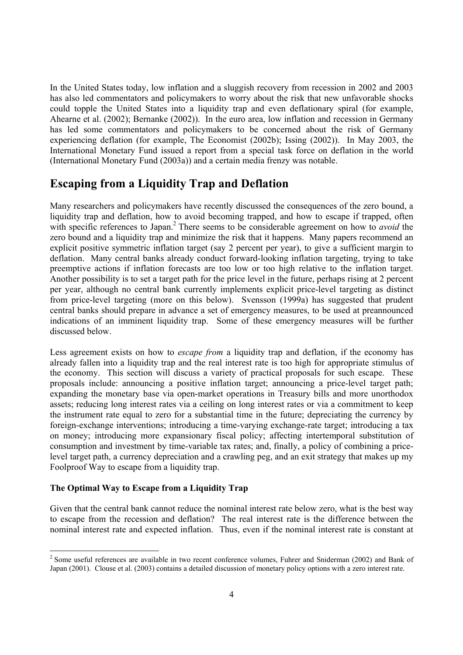In the United States today, low inflation and a sluggish recovery from recession in 2002 and 2003 has also led commentators and policymakers to worry about the risk that new unfavorable shocks could topple the United States into a liquidity trap and even deflationary spiral (for example, Ahearne et al. (2002); Bernanke (2002)). In the euro area, low inflation and recession in Germany has led some commentators and policymakers to be concerned about the risk of Germany experiencing deflation (for example, The Economist (2002b); Issing (2002)). In May 2003, the International Monetary Fund issued a report from a special task force on deflation in the world (International Monetary Fund (2003a)) and a certain media frenzy was notable.

## **Escaping from a Liquidity Trap and Deflation**

Many researchers and policymakers have recently discussed the consequences of the zero bound, a liquidity trap and deflation, how to avoid becoming trapped, and how to escape if trapped, often with specific references to Japan.<sup>2</sup> There seems to be considerable agreement on how to *avoid* the zero bound and a liquidity trap and minimize the risk that it happens. Many papers recommend an explicit positive symmetric inflation target (say 2 percent per year), to give a sufficient margin to deflation. Many central banks already conduct forward-looking inflation targeting, trying to take preemptive actions if inflation forecasts are too low or too high relative to the inflation target. Another possibility is to set a target path for the price level in the future, perhaps rising at 2 percent per year, although no central bank currently implements explicit price-level targeting as distinct from price-level targeting (more on this below). Svensson (1999a) has suggested that prudent central banks should prepare in advance a set of emergency measures, to be used at preannounced indications of an imminent liquidity trap. Some of these emergency measures will be further discussed below.

Less agreement exists on how to *escape from* a liquidity trap and deflation, if the economy has already fallen into a liquidity trap and the real interest rate is too high for appropriate stimulus of the economy. This section will discuss a variety of practical proposals for such escape. These proposals include: announcing a positive inflation target; announcing a price-level target path; expanding the monetary base via open-market operations in Treasury bills and more unorthodox assets; reducing long interest rates via a ceiling on long interest rates or via a commitment to keep the instrument rate equal to zero for a substantial time in the future; depreciating the currency by foreign-exchange interventions; introducing a time-varying exchange-rate target; introducing a tax on money; introducing more expansionary fiscal policy; affecting intertemporal substitution of consumption and investment by time-variable tax rates; and, finally, a policy of combining a pricelevel target path, a currency depreciation and a crawling peg, and an exit strategy that makes up my Foolproof Way to escape from a liquidity trap.

### **The Optimal Way to Escape from a Liquidity Trap**

Given that the central bank cannot reduce the nominal interest rate below zero, what is the best way to escape from the recession and deflation? The real interest rate is the difference between the nominal interest rate and expected inflation. Thus, even if the nominal interest rate is constant at

 $2^2$  Some useful references are available in two recent conference volumes, Fuhrer and Sniderman (2002) and Bank of Japan (2001). Clouse et al. (2003) contains a detailed discussion of monetary policy options with a zero interest rate.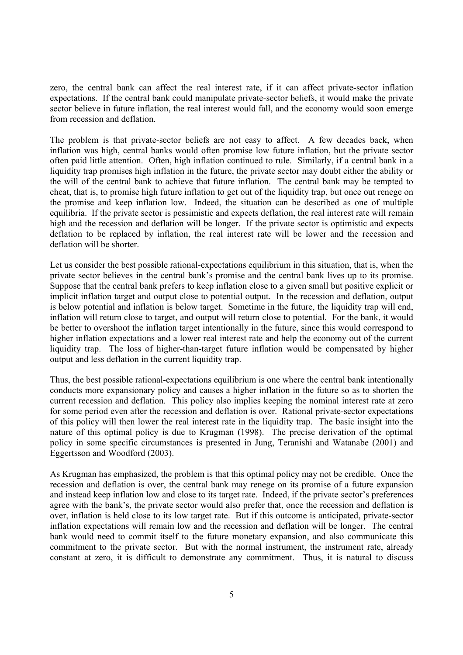zero, the central bank can affect the real interest rate, if it can affect private-sector inflation expectations. If the central bank could manipulate private-sector beliefs, it would make the private sector believe in future inflation, the real interest would fall, and the economy would soon emerge from recession and deflation.

The problem is that private-sector beliefs are not easy to affect. A few decades back, when inflation was high, central banks would often promise low future inflation, but the private sector often paid little attention. Often, high inflation continued to rule. Similarly, if a central bank in a liquidity trap promises high inflation in the future, the private sector may doubt either the ability or the will of the central bank to achieve that future inflation. The central bank may be tempted to cheat, that is, to promise high future inflation to get out of the liquidity trap, but once out renege on the promise and keep inflation low. Indeed, the situation can be described as one of multiple equilibria. If the private sector is pessimistic and expects deflation, the real interest rate will remain high and the recession and deflation will be longer. If the private sector is optimistic and expects deflation to be replaced by inflation, the real interest rate will be lower and the recession and deflation will be shorter.

Let us consider the best possible rational-expectations equilibrium in this situation, that is, when the private sector believes in the central bank's promise and the central bank lives up to its promise. Suppose that the central bank prefers to keep inflation close to a given small but positive explicit or implicit inflation target and output close to potential output. In the recession and deflation, output is below potential and inflation is below target. Sometime in the future, the liquidity trap will end, inflation will return close to target, and output will return close to potential. For the bank, it would be better to overshoot the inflation target intentionally in the future, since this would correspond to higher inflation expectations and a lower real interest rate and help the economy out of the current liquidity trap. The loss of higher-than-target future inflation would be compensated by higher output and less deflation in the current liquidity trap.

Thus, the best possible rational-expectations equilibrium is one where the central bank intentionally conducts more expansionary policy and causes a higher inflation in the future so as to shorten the current recession and deflation. This policy also implies keeping the nominal interest rate at zero for some period even after the recession and deflation is over. Rational private-sector expectations of this policy will then lower the real interest rate in the liquidity trap. The basic insight into the nature of this optimal policy is due to Krugman (1998). The precise derivation of the optimal policy in some specific circumstances is presented in Jung, Teranishi and Watanabe (2001) and Eggertsson and Woodford (2003).

As Krugman has emphasized, the problem is that this optimal policy may not be credible. Once the recession and deflation is over, the central bank may renege on its promise of a future expansion and instead keep inflation low and close to its target rate. Indeed, if the private sector's preferences agree with the bank's, the private sector would also prefer that, once the recession and deflation is over, inflation is held close to its low target rate. But if this outcome is anticipated, private-sector inflation expectations will remain low and the recession and deflation will be longer. The central bank would need to commit itself to the future monetary expansion, and also communicate this commitment to the private sector. But with the normal instrument, the instrument rate, already constant at zero, it is difficult to demonstrate any commitment. Thus, it is natural to discuss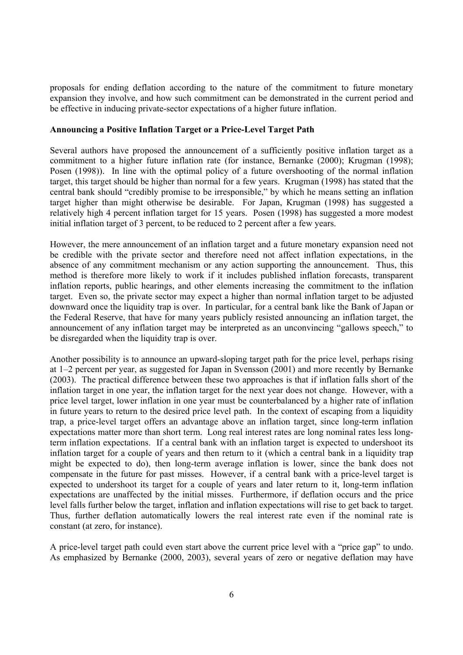proposals for ending deflation according to the nature of the commitment to future monetary expansion they involve, and how such commitment can be demonstrated in the current period and be effective in inducing private-sector expectations of a higher future inflation.

#### **Announcing a Positive Inflation Target or a Price-Level Target Path**

Several authors have proposed the announcement of a sufficiently positive inflation target as a commitment to a higher future inflation rate (for instance, Bernanke (2000); Krugman (1998); Posen (1998)). In line with the optimal policy of a future overshooting of the normal inflation target, this target should be higher than normal for a few years. Krugman (1998) has stated that the central bank should "credibly promise to be irresponsible," by which he means setting an inflation target higher than might otherwise be desirable. For Japan, Krugman (1998) has suggested a relatively high 4 percent inflation target for 15 years. Posen (1998) has suggested a more modest initial inflation target of 3 percent, to be reduced to 2 percent after a few years.

However, the mere announcement of an inflation target and a future monetary expansion need not be credible with the private sector and therefore need not affect inflation expectations, in the absence of any commitment mechanism or any action supporting the announcement. Thus, this method is therefore more likely to work if it includes published inflation forecasts, transparent inflation reports, public hearings, and other elements increasing the commitment to the inflation target. Even so, the private sector may expect a higher than normal inflation target to be adjusted downward once the liquidity trap is over. In particular, for a central bank like the Bank of Japan or the Federal Reserve, that have for many years publicly resisted announcing an inflation target, the announcement of any inflation target may be interpreted as an unconvincing "gallows speech," to be disregarded when the liquidity trap is over.

Another possibility is to announce an upward-sloping target path for the price level, perhaps rising at 1–2 percent per year, as suggested for Japan in Svensson (2001) and more recently by Bernanke (2003). The practical difference between these two approaches is that if inflation falls short of the inflation target in one year, the inflation target for the next year does not change. However, with a price level target, lower inflation in one year must be counterbalanced by a higher rate of inflation in future years to return to the desired price level path. In the context of escaping from a liquidity trap, a price-level target offers an advantage above an inflation target, since long-term inflation expectations matter more than short term. Long real interest rates are long nominal rates less longterm inflation expectations. If a central bank with an inflation target is expected to undershoot its inflation target for a couple of years and then return to it (which a central bank in a liquidity trap might be expected to do), then long-term average inflation is lower, since the bank does not compensate in the future for past misses. However, if a central bank with a price-level target is expected to undershoot its target for a couple of years and later return to it, long-term inflation expectations are unaffected by the initial misses. Furthermore, if deflation occurs and the price level falls further below the target, inflation and inflation expectations will rise to get back to target. Thus, further deflation automatically lowers the real interest rate even if the nominal rate is constant (at zero, for instance).

A price-level target path could even start above the current price level with a "price gap" to undo. As emphasized by Bernanke (2000, 2003), several years of zero or negative deflation may have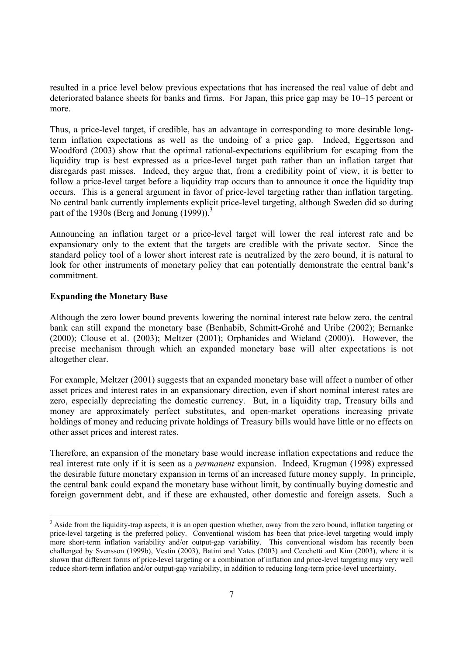resulted in a price level below previous expectations that has increased the real value of debt and deteriorated balance sheets for banks and firms. For Japan, this price gap may be 10–15 percent or more.

Thus, a price-level target, if credible, has an advantage in corresponding to more desirable longterm inflation expectations as well as the undoing of a price gap. Indeed, Eggertsson and Woodford (2003) show that the optimal rational-expectations equilibrium for escaping from the liquidity trap is best expressed as a price-level target path rather than an inflation target that disregards past misses. Indeed, they argue that, from a credibility point of view, it is better to follow a price-level target before a liquidity trap occurs than to announce it once the liquidity trap occurs. This is a general argument in favor of price-level targeting rather than inflation targeting. No central bank currently implements explicit price-level targeting, although Sweden did so during part of the 1930s (Berg and Jonung  $(1999)$ ).<sup>3</sup>

Announcing an inflation target or a price-level target will lower the real interest rate and be expansionary only to the extent that the targets are credible with the private sector. Since the standard policy tool of a lower short interest rate is neutralized by the zero bound, it is natural to look for other instruments of monetary policy that can potentially demonstrate the central bank's commitment.

### **Expanding the Monetary Base**

 $\overline{a}$ 

Although the zero lower bound prevents lowering the nominal interest rate below zero, the central bank can still expand the monetary base (Benhabib, Schmitt-Grohé and Uribe (2002); Bernanke (2000); Clouse et al. (2003); Meltzer (2001); Orphanides and Wieland (2000)). However, the precise mechanism through which an expanded monetary base will alter expectations is not altogether clear.

For example, Meltzer (2001) suggests that an expanded monetary base will affect a number of other asset prices and interest rates in an expansionary direction, even if short nominal interest rates are zero, especially depreciating the domestic currency. But, in a liquidity trap, Treasury bills and money are approximately perfect substitutes, and open-market operations increasing private holdings of money and reducing private holdings of Treasury bills would have little or no effects on other asset prices and interest rates.

Therefore, an expansion of the monetary base would increase inflation expectations and reduce the real interest rate only if it is seen as a *permanent* expansion. Indeed, Krugman (1998) expressed the desirable future monetary expansion in terms of an increased future money supply. In principle, the central bank could expand the monetary base without limit, by continually buying domestic and foreign government debt, and if these are exhausted, other domestic and foreign assets. Such a

 $3$  Aside from the liquidity-trap aspects, it is an open question whether, away from the zero bound, inflation targeting or price-level targeting is the preferred policy. Conventional wisdom has been that price-level targeting would imply more short-term inflation variability and/or output-gap variability. This conventional wisdom has recently been challenged by Svensson (1999b), Vestin (2003), Batini and Yates (2003) and Cecchetti and Kim (2003), where it is shown that different forms of price-level targeting or a combination of inflation and price-level targeting may very well reduce short-term inflation and/or output-gap variability, in addition to reducing long-term price-level uncertainty.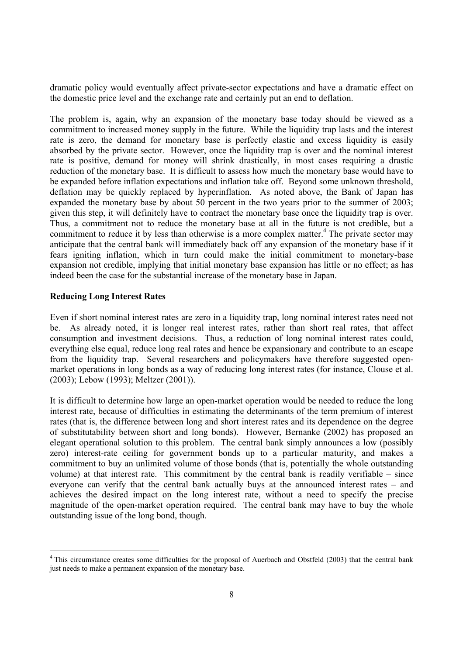dramatic policy would eventually affect private-sector expectations and have a dramatic effect on the domestic price level and the exchange rate and certainly put an end to deflation.

The problem is, again, why an expansion of the monetary base today should be viewed as a commitment to increased money supply in the future. While the liquidity trap lasts and the interest rate is zero, the demand for monetary base is perfectly elastic and excess liquidity is easily absorbed by the private sector. However, once the liquidity trap is over and the nominal interest rate is positive, demand for money will shrink drastically, in most cases requiring a drastic reduction of the monetary base. It is difficult to assess how much the monetary base would have to be expanded before inflation expectations and inflation take off. Beyond some unknown threshold, deflation may be quickly replaced by hyperinflation. As noted above, the Bank of Japan has expanded the monetary base by about 50 percent in the two years prior to the summer of 2003; given this step, it will definitely have to contract the monetary base once the liquidity trap is over. Thus, a commitment not to reduce the monetary base at all in the future is not credible, but a commitment to reduce it by less than otherwise is a more complex matter.<sup>4</sup> The private sector may anticipate that the central bank will immediately back off any expansion of the monetary base if it fears igniting inflation, which in turn could make the initial commitment to monetary-base expansion not credible, implying that initial monetary base expansion has little or no effect; as has indeed been the case for the substantial increase of the monetary base in Japan.

#### **Reducing Long Interest Rates**

Even if short nominal interest rates are zero in a liquidity trap, long nominal interest rates need not be. As already noted, it is longer real interest rates, rather than short real rates, that affect consumption and investment decisions. Thus, a reduction of long nominal interest rates could, everything else equal, reduce long real rates and hence be expansionary and contribute to an escape from the liquidity trap. Several researchers and policymakers have therefore suggested openmarket operations in long bonds as a way of reducing long interest rates (for instance, Clouse et al. (2003); Lebow (1993); Meltzer (2001)).

It is difficult to determine how large an open-market operation would be needed to reduce the long interest rate, because of difficulties in estimating the determinants of the term premium of interest rates (that is, the difference between long and short interest rates and its dependence on the degree of substitutability between short and long bonds). However, Bernanke (2002) has proposed an elegant operational solution to this problem. The central bank simply announces a low (possibly zero) interest-rate ceiling for government bonds up to a particular maturity, and makes a commitment to buy an unlimited volume of those bonds (that is, potentially the whole outstanding volume) at that interest rate. This commitment by the central bank is readily verifiable – since everyone can verify that the central bank actually buys at the announced interest rates – and achieves the desired impact on the long interest rate, without a need to specify the precise magnitude of the open-market operation required. The central bank may have to buy the whole outstanding issue of the long bond, though.

<sup>&</sup>lt;sup>4</sup> This circumstance creates some difficulties for the proposal of Auerbach and Obstfeld (2003) that the central bank just needs to make a permanent expansion of the monetary base.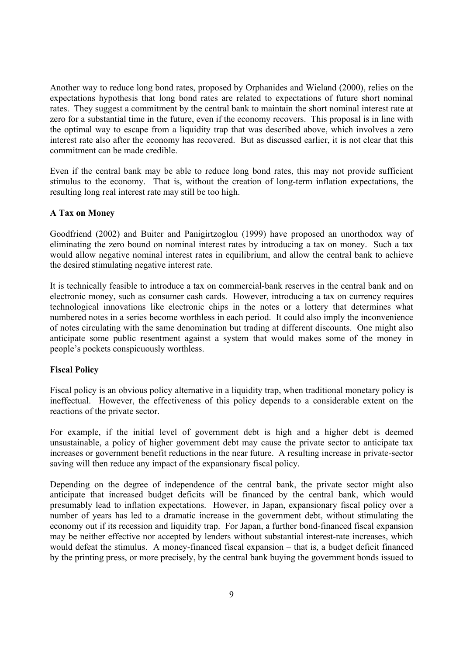Another way to reduce long bond rates, proposed by Orphanides and Wieland (2000), relies on the expectations hypothesis that long bond rates are related to expectations of future short nominal rates. They suggest a commitment by the central bank to maintain the short nominal interest rate at zero for a substantial time in the future, even if the economy recovers. This proposal is in line with the optimal way to escape from a liquidity trap that was described above, which involves a zero interest rate also after the economy has recovered. But as discussed earlier, it is not clear that this commitment can be made credible.

Even if the central bank may be able to reduce long bond rates, this may not provide sufficient stimulus to the economy. That is, without the creation of long-term inflation expectations, the resulting long real interest rate may still be too high.

### **A Tax on Money**

Goodfriend (2002) and Buiter and Panigirtzoglou (1999) have proposed an unorthodox way of eliminating the zero bound on nominal interest rates by introducing a tax on money. Such a tax would allow negative nominal interest rates in equilibrium, and allow the central bank to achieve the desired stimulating negative interest rate.

It is technically feasible to introduce a tax on commercial-bank reserves in the central bank and on electronic money, such as consumer cash cards. However, introducing a tax on currency requires technological innovations like electronic chips in the notes or a lottery that determines what numbered notes in a series become worthless in each period. It could also imply the inconvenience of notes circulating with the same denomination but trading at different discounts. One might also anticipate some public resentment against a system that would makes some of the money in people's pockets conspicuously worthless.

#### **Fiscal Policy**

Fiscal policy is an obvious policy alternative in a liquidity trap, when traditional monetary policy is ineffectual. However, the effectiveness of this policy depends to a considerable extent on the reactions of the private sector.

For example, if the initial level of government debt is high and a higher debt is deemed unsustainable, a policy of higher government debt may cause the private sector to anticipate tax increases or government benefit reductions in the near future. A resulting increase in private-sector saving will then reduce any impact of the expansionary fiscal policy.

Depending on the degree of independence of the central bank, the private sector might also anticipate that increased budget deficits will be financed by the central bank, which would presumably lead to inflation expectations. However, in Japan, expansionary fiscal policy over a number of years has led to a dramatic increase in the government debt, without stimulating the economy out if its recession and liquidity trap. For Japan, a further bond-financed fiscal expansion may be neither effective nor accepted by lenders without substantial interest-rate increases, which would defeat the stimulus. A money-financed fiscal expansion – that is, a budget deficit financed by the printing press, or more precisely, by the central bank buying the government bonds issued to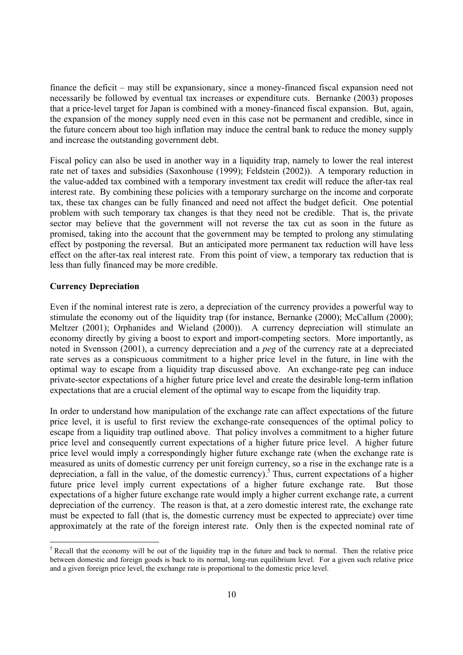finance the deficit – may still be expansionary, since a money-financed fiscal expansion need not necessarily be followed by eventual tax increases or expenditure cuts. Bernanke (2003) proposes that a price-level target for Japan is combined with a money-financed fiscal expansion. But, again, the expansion of the money supply need even in this case not be permanent and credible, since in the future concern about too high inflation may induce the central bank to reduce the money supply and increase the outstanding government debt.

Fiscal policy can also be used in another way in a liquidity trap, namely to lower the real interest rate net of taxes and subsidies (Saxonhouse (1999); Feldstein (2002)). A temporary reduction in the value-added tax combined with a temporary investment tax credit will reduce the after-tax real interest rate. By combining these policies with a temporary surcharge on the income and corporate tax, these tax changes can be fully financed and need not affect the budget deficit. One potential problem with such temporary tax changes is that they need not be credible. That is, the private sector may believe that the government will not reverse the tax cut as soon in the future as promised, taking into the account that the government may be tempted to prolong any stimulating effect by postponing the reversal. But an anticipated more permanent tax reduction will have less effect on the after-tax real interest rate. From this point of view, a temporary tax reduction that is less than fully financed may be more credible.

#### **Currency Depreciation**

Even if the nominal interest rate is zero, a depreciation of the currency provides a powerful way to stimulate the economy out of the liquidity trap (for instance, Bernanke (2000); McCallum (2000); Meltzer (2001); Orphanides and Wieland (2000)). A currency depreciation will stimulate an economy directly by giving a boost to export and import-competing sectors. More importantly, as noted in Svensson (2001), a currency depreciation and a *peg* of the currency rate at a depreciated rate serves as a conspicuous commitment to a higher price level in the future, in line with the optimal way to escape from a liquidity trap discussed above. An exchange-rate peg can induce private-sector expectations of a higher future price level and create the desirable long-term inflation expectations that are a crucial element of the optimal way to escape from the liquidity trap.

In order to understand how manipulation of the exchange rate can affect expectations of the future price level, it is useful to first review the exchange-rate consequences of the optimal policy to escape from a liquidity trap outlined above. That policy involves a commitment to a higher future price level and consequently current expectations of a higher future price level. A higher future price level would imply a correspondingly higher future exchange rate (when the exchange rate is measured as units of domestic currency per unit foreign currency, so a rise in the exchange rate is a depreciation, a fall in the value, of the domestic currency).<sup>5</sup> Thus, current expectations of a higher future price level imply current expectations of a higher future exchange rate. But those expectations of a higher future exchange rate would imply a higher current exchange rate, a current depreciation of the currency. The reason is that, at a zero domestic interest rate, the exchange rate must be expected to fall (that is, the domestic currency must be expected to appreciate) over time approximately at the rate of the foreign interest rate. Only then is the expected nominal rate of

 $<sup>5</sup>$  Recall that the economy will be out of the liquidity trap in the future and back to normal. Then the relative price</sup> between domestic and foreign goods is back to its normal, long-run equilibrium level. For a given such relative price and a given foreign price level, the exchange rate is proportional to the domestic price level.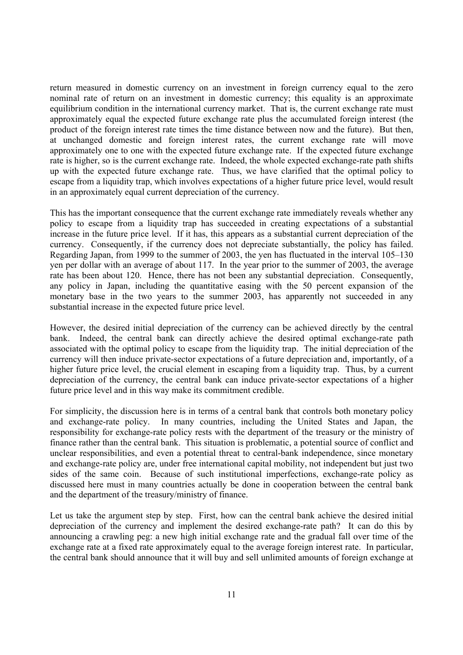return measured in domestic currency on an investment in foreign currency equal to the zero nominal rate of return on an investment in domestic currency; this equality is an approximate equilibrium condition in the international currency market. That is, the current exchange rate must approximately equal the expected future exchange rate plus the accumulated foreign interest (the product of the foreign interest rate times the time distance between now and the future). But then, at unchanged domestic and foreign interest rates, the current exchange rate will move approximately one to one with the expected future exchange rate. If the expected future exchange rate is higher, so is the current exchange rate. Indeed, the whole expected exchange-rate path shifts up with the expected future exchange rate. Thus, we have clarified that the optimal policy to escape from a liquidity trap, which involves expectations of a higher future price level, would result in an approximately equal current depreciation of the currency.

This has the important consequence that the current exchange rate immediately reveals whether any policy to escape from a liquidity trap has succeeded in creating expectations of a substantial increase in the future price level. If it has, this appears as a substantial current depreciation of the currency. Consequently, if the currency does not depreciate substantially, the policy has failed. Regarding Japan, from 1999 to the summer of 2003, the yen has fluctuated in the interval 105–130 yen per dollar with an average of about 117. In the year prior to the summer of 2003, the average rate has been about 120. Hence, there has not been any substantial depreciation. Consequently, any policy in Japan, including the quantitative easing with the 50 percent expansion of the monetary base in the two years to the summer 2003, has apparently not succeeded in any substantial increase in the expected future price level.

However, the desired initial depreciation of the currency can be achieved directly by the central bank. Indeed, the central bank can directly achieve the desired optimal exchange-rate path associated with the optimal policy to escape from the liquidity trap. The initial depreciation of the currency will then induce private-sector expectations of a future depreciation and, importantly, of a higher future price level, the crucial element in escaping from a liquidity trap. Thus, by a current depreciation of the currency, the central bank can induce private-sector expectations of a higher future price level and in this way make its commitment credible.

For simplicity, the discussion here is in terms of a central bank that controls both monetary policy and exchange-rate policy. In many countries, including the United States and Japan, the responsibility for exchange-rate policy rests with the department of the treasury or the ministry of finance rather than the central bank. This situation is problematic, a potential source of conflict and unclear responsibilities, and even a potential threat to central-bank independence, since monetary and exchange-rate policy are, under free international capital mobility, not independent but just two sides of the same coin. Because of such institutional imperfections, exchange-rate policy as discussed here must in many countries actually be done in cooperation between the central bank and the department of the treasury/ministry of finance.

Let us take the argument step by step. First, how can the central bank achieve the desired initial depreciation of the currency and implement the desired exchange-rate path? It can do this by announcing a crawling peg: a new high initial exchange rate and the gradual fall over time of the exchange rate at a fixed rate approximately equal to the average foreign interest rate. In particular, the central bank should announce that it will buy and sell unlimited amounts of foreign exchange at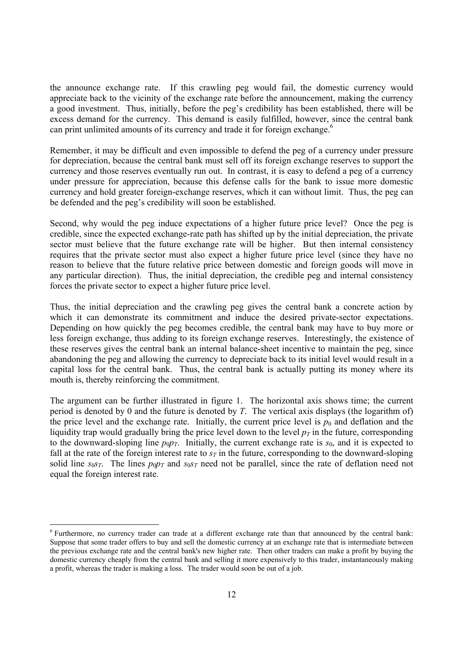the announce exchange rate. If this crawling peg would fail, the domestic currency would appreciate back to the vicinity of the exchange rate before the announcement, making the currency a good investment. Thus, initially, before the peg's credibility has been established, there will be excess demand for the currency. This demand is easily fulfilled, however, since the central bank can print unlimited amounts of its currency and trade it for foreign exchange.<sup>6</sup>

Remember, it may be difficult and even impossible to defend the peg of a currency under pressure for depreciation, because the central bank must sell off its foreign exchange reserves to support the currency and those reserves eventually run out. In contrast, it is easy to defend a peg of a currency under pressure for appreciation, because this defense calls for the bank to issue more domestic currency and hold greater foreign-exchange reserves, which it can without limit. Thus, the peg can be defended and the peg's credibility will soon be established.

Second, why would the peg induce expectations of a higher future price level? Once the peg is credible, since the expected exchange-rate path has shifted up by the initial depreciation, the private sector must believe that the future exchange rate will be higher. But then internal consistency requires that the private sector must also expect a higher future price level (since they have no reason to believe that the future relative price between domestic and foreign goods will move in any particular direction). Thus, the initial depreciation, the credible peg and internal consistency forces the private sector to expect a higher future price level.

Thus, the initial depreciation and the crawling peg gives the central bank a concrete action by which it can demonstrate its commitment and induce the desired private-sector expectations. Depending on how quickly the peg becomes credible, the central bank may have to buy more or less foreign exchange, thus adding to its foreign exchange reserves. Interestingly, the existence of these reserves gives the central bank an internal balance-sheet incentive to maintain the peg, since abandoning the peg and allowing the currency to depreciate back to its initial level would result in a capital loss for the central bank. Thus, the central bank is actually putting its money where its mouth is, thereby reinforcing the commitment.

The argument can be further illustrated in figure 1. The horizontal axis shows time; the current period is denoted by 0 and the future is denoted by *T*. The vertical axis displays (the logarithm of) the price level and the exchange rate. Initially, the current price level is  $p_0$  and deflation and the liquidity trap would gradually bring the price level down to the level  $p<sub>T</sub>$  in the future, corresponding to the downward-sloping line  $p_0p_T$ . Initially, the current exchange rate is  $s_0$ , and it is expected to fall at the rate of the foreign interest rate to  $s<sub>T</sub>$  in the future, corresponding to the downward-sloping solid line  $s_0s_T$ . The lines  $p_0p_T$  and  $s_0s_T$  need not be parallel, since the rate of deflation need not equal the foreign interest rate.

 $\overline{a}$ 

 $6$  Furthermore, no currency trader can trade at a different exchange rate than that announced by the central bank: Suppose that some trader offers to buy and sell the domestic currency at an exchange rate that is intermediate between the previous exchange rate and the central bank's new higher rate. Then other traders can make a profit by buying the domestic currency cheaply from the central bank and selling it more expensively to this trader, instantaneously making a profit, whereas the trader is making a loss. The trader would soon be out of a job.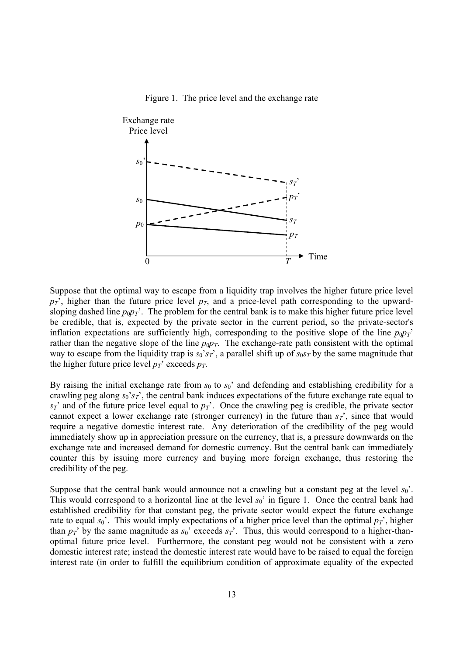#### Figure 1. The price level and the exchange rate



Suppose that the optimal way to escape from a liquidity trap involves the higher future price level  $p_T$ <sup>'</sup>, higher than the future price level  $p_T$ , and a price-level path corresponding to the upwardsloping dashed line  $p_0p_T$ '. The problem for the central bank is to make this higher future price level be credible, that is, expected by the private sector in the current period, so the private-sector's inflation expectations are sufficiently high, corresponding to the positive slope of the line  $p_0p_T$ ' rather than the negative slope of the line  $p_0p_T$ . The exchange-rate path consistent with the optimal way to escape from the liquidity trap is  $s_0's_T'$ , a parallel shift up of  $s_0s_T$  by the same magnitude that the higher future price level  $p_T$ ' exceeds  $p_T$ .

By raising the initial exchange rate from  $s_0$  to  $s_0$ ' and defending and establishing credibility for a crawling peg along  $s_0$ ' $s_T$ ', the central bank induces expectations of the future exchange rate equal to  $s_T$ ' and of the future price level equal to  $p_T$ '. Once the crawling peg is credible, the private sector cannot expect a lower exchange rate (stronger currency) in the future than  $s<sub>T</sub>$ <sup>'</sup>, since that would require a negative domestic interest rate. Any deterioration of the credibility of the peg would immediately show up in appreciation pressure on the currency, that is, a pressure downwards on the exchange rate and increased demand for domestic currency. But the central bank can immediately counter this by issuing more currency and buying more foreign exchange, thus restoring the credibility of the peg.

Suppose that the central bank would announce not a crawling but a constant peg at the level *s*0'. This would correspond to a horizontal line at the level *s*<sub>0</sub>' in figure 1. Once the central bank had established credibility for that constant peg, the private sector would expect the future exchange rate to equal  $s_0$ <sup>'</sup>. This would imply expectations of a higher price level than the optimal  $p_T$ <sup>'</sup>, higher than  $p_T$ ' by the same magnitude as  $s_0$ ' exceeds  $s_T$ '. Thus, this would correspond to a higher-thanoptimal future price level. Furthermore, the constant peg would not be consistent with a zero domestic interest rate; instead the domestic interest rate would have to be raised to equal the foreign interest rate (in order to fulfill the equilibrium condition of approximate equality of the expected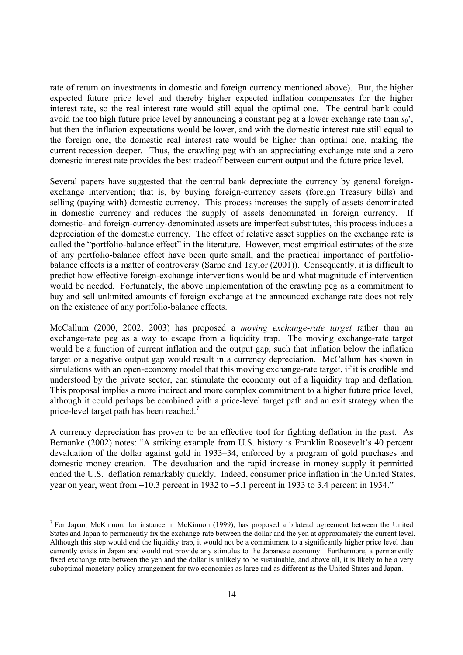rate of return on investments in domestic and foreign currency mentioned above). But, the higher expected future price level and thereby higher expected inflation compensates for the higher interest rate, so the real interest rate would still equal the optimal one. The central bank could avoid the too high future price level by announcing a constant peg at a lower exchange rate than  $s_0$ <sup>'</sup>, but then the inflation expectations would be lower, and with the domestic interest rate still equal to the foreign one, the domestic real interest rate would be higher than optimal one, making the current recession deeper. Thus, the crawling peg with an appreciating exchange rate and a zero domestic interest rate provides the best tradeoff between current output and the future price level.

Several papers have suggested that the central bank depreciate the currency by general foreignexchange intervention; that is, by buying foreign-currency assets (foreign Treasury bills) and selling (paying with) domestic currency. This process increases the supply of assets denominated in domestic currency and reduces the supply of assets denominated in foreign currency. If domestic- and foreign-currency-denominated assets are imperfect substitutes, this process induces a depreciation of the domestic currency. The effect of relative asset supplies on the exchange rate is called the "portfolio-balance effect" in the literature. However, most empirical estimates of the size of any portfolio-balance effect have been quite small, and the practical importance of portfoliobalance effects is a matter of controversy (Sarno and Taylor (2001)). Consequently, it is difficult to predict how effective foreign-exchange interventions would be and what magnitude of intervention would be needed. Fortunately, the above implementation of the crawling peg as a commitment to buy and sell unlimited amounts of foreign exchange at the announced exchange rate does not rely on the existence of any portfolio-balance effects.

McCallum (2000, 2002, 2003) has proposed a *moving exchange-rate target* rather than an exchange-rate peg as a way to escape from a liquidity trap. The moving exchange-rate target would be a function of current inflation and the output gap, such that inflation below the inflation target or a negative output gap would result in a currency depreciation. McCallum has shown in simulations with an open-economy model that this moving exchange-rate target, if it is credible and understood by the private sector, can stimulate the economy out of a liquidity trap and deflation. This proposal implies a more indirect and more complex commitment to a higher future price level, although it could perhaps be combined with a price-level target path and an exit strategy when the price-level target path has been reached.<sup>7</sup>

A currency depreciation has proven to be an effective tool for fighting deflation in the past. As Bernanke (2002) notes: "A striking example from U.S. history is Franklin Roosevelt's 40 percent devaluation of the dollar against gold in 1933–34, enforced by a program of gold purchases and domestic money creation. The devaluation and the rapid increase in money supply it permitted ended the U.S. deflation remarkably quickly. Indeed, consumer price inflation in the United States, year on year, went from −10.3 percent in 1932 to −5.1 percent in 1933 to 3.4 percent in 1934."

 $\overline{a}$ 

<sup>&</sup>lt;sup>7</sup> For Japan, McKinnon, for instance in McKinnon (1999), has proposed a bilateral agreement between the United States and Japan to permanently fix the exchange-rate between the dollar and the yen at approximately the current level. Although this step would end the liquidity trap, it would not be a commitment to a significantly higher price level than currently exists in Japan and would not provide any stimulus to the Japanese economy. Furthermore, a permanently fixed exchange rate between the yen and the dollar is unlikely to be sustainable, and above all, it is likely to be a very suboptimal monetary-policy arrangement for two economies as large and as different as the United States and Japan.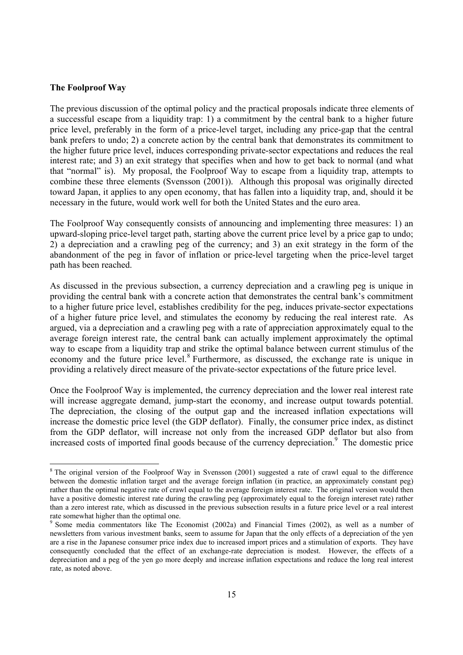#### **The Foolproof Way**

The previous discussion of the optimal policy and the practical proposals indicate three elements of a successful escape from a liquidity trap: 1) a commitment by the central bank to a higher future price level, preferably in the form of a price-level target, including any price-gap that the central bank prefers to undo; 2) a concrete action by the central bank that demonstrates its commitment to the higher future price level, induces corresponding private-sector expectations and reduces the real interest rate; and 3) an exit strategy that specifies when and how to get back to normal (and what that "normal" is). My proposal, the Foolproof Way to escape from a liquidity trap, attempts to combine these three elements (Svensson (2001)). Although this proposal was originally directed toward Japan, it applies to any open economy, that has fallen into a liquidity trap, and, should it be necessary in the future, would work well for both the United States and the euro area.

The Foolproof Way consequently consists of announcing and implementing three measures: 1) an upward-sloping price-level target path, starting above the current price level by a price gap to undo; 2) a depreciation and a crawling peg of the currency; and 3) an exit strategy in the form of the abandonment of the peg in favor of inflation or price-level targeting when the price-level target path has been reached.

As discussed in the previous subsection, a currency depreciation and a crawling peg is unique in providing the central bank with a concrete action that demonstrates the central bank's commitment to a higher future price level, establishes credibility for the peg, induces private-sector expectations of a higher future price level, and stimulates the economy by reducing the real interest rate. As argued, via a depreciation and a crawling peg with a rate of appreciation approximately equal to the average foreign interest rate, the central bank can actually implement approximately the optimal way to escape from a liquidity trap and strike the optimal balance between current stimulus of the economy and the future price level.<sup>8</sup> Furthermore, as discussed, the exchange rate is unique in providing a relatively direct measure of the private-sector expectations of the future price level.

Once the Foolproof Way is implemented, the currency depreciation and the lower real interest rate will increase aggregate demand, jump-start the economy, and increase output towards potential. The depreciation, the closing of the output gap and the increased inflation expectations will increase the domestic price level (the GDP deflator). Finally, the consumer price index, as distinct from the GDP deflator, will increase not only from the increased GDP deflator but also from increased costs of imported final goods because of the currency depreciation. $\degree$  The domestic price

 $8$  The original version of the Foolproof Way in Svensson (2001) suggested a rate of crawl equal to the difference between the domestic inflation target and the average foreign inflation (in practice, an approximately constant peg) rather than the optimal negative rate of crawl equal to the average foreign interest rate. The original version would then have a positive domestic interest rate during the crawling peg (approximately equal to the foreign intereset rate) rather than a zero interest rate, which as discussed in the previous subsection results in a future price level or a real interest rate somewhat higher than the optimal one.

<sup>&</sup>lt;sup>9</sup> Some media commentators like The Economist (2002a) and Financial Times (2002), as well as a number of newsletters from various investment banks, seem to assume for Japan that the only effects of a depreciation of the yen are a rise in the Japanese consumer price index due to increased import prices and a stimulation of exports. They have consequently concluded that the effect of an exchange-rate depreciation is modest. However, the effects of a depreciation and a peg of the yen go more deeply and increase inflation expectations and reduce the long real interest rate, as noted above.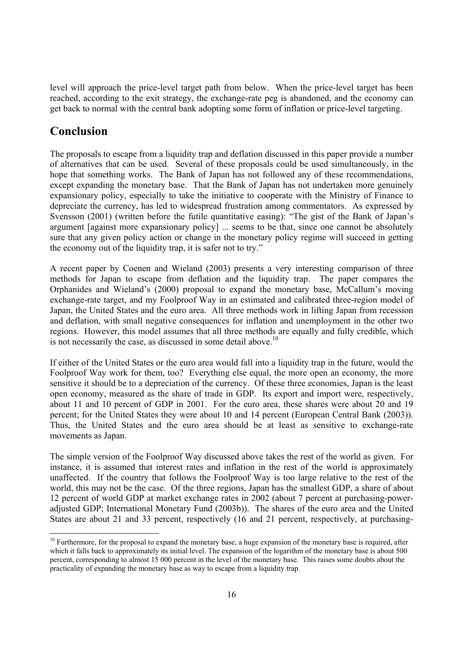level will approach the price-level target path from below. When the price-level target has been reached, according to the exit strategy, the exchange-rate peg is abandoned, and the economy can get back to normal with the central bank adopting some form of inflation or price-level targeting.

## **Conclusion**

The proposals to escape from a liquidity trap and deflation discussed in this paper provide a number of alternatives that can be used. Several of these proposals could be used simultaneously, in the hope that something works. The Bank of Japan has not followed any of these recommendations, except expanding the monetary base. That the Bank of Japan has not undertaken more genuinely expansionary policy, especially to take the initiative to cooperate with the Ministry of Finance to depreciate the currency, has led to widespread frustration among commentators. As expressed by Svensson (2001) (written before the futile quantitative easing): "The gist of the Bank of Japan's argument [against more expansionary policy] ... seems to be that, since one cannot be absolutely sure that any given policy action or change in the monetary policy regime will succeed in getting the economy out of the liquidity trap, it is safer not to try."

A recent paper by Coenen and Wieland (2003) presents a very interesting comparison of three methods for Japan to escape from deflation and the liquidity trap. The paper compares the Orphanides and Wieland's (2000) proposal to expand the monetary base, McCallum's moving exchange-rate target, and my Foolproof Way in an estimated and calibrated three-region model of Japan, the United States and the euro area. All three methods work in lifting Japan from recession and deflation, with small negative consequences for inflation and unemployment in the other two regions. However, this model assumes that all three methods are equally and fully credible, which is not necessarily the case, as discussed in some detail above.<sup>10</sup>

If either of the United States or the euro area would fall into a liquidity trap in the future, would the Foolproof Way work for them, too? Everything else equal, the more open an economy, the more sensitive it should be to a depreciation of the currency. Of these three economies, Japan is the least open economy, measured as the share of trade in GDP. Its export and import were, respectively, about 11 and 10 percent of GDP in 2001. For the euro area, these shares were about 20 and 19 percent; for the United States they were about 10 and 14 percent (European Central Bank (2003)). Thus, the United States and the euro area should be at least as sensitive to exchange-rate movements as Japan.

The simple version of the Foolproof Way discussed above takes the rest of the world as given. For instance, it is assumed that interest rates and inflation in the rest of the world is approximately unaffected. If the country that follows the Foolproof Way is too large relative to the rest of the world, this may not be the case. Of the three regions, Japan has the smallest GDP, a share of about 12 percent of world GDP at market exchange rates in 2002 (about 7 percent at purchasing-poweradjusted GDP; International Monetary Fund (2003b)). The shares of the euro area and the United States are about 21 and 33 percent, respectively (16 and 21 percent, respectively, at purchasing-

 $10$  Furthermore, for the proposal to expand the monetary base, a huge expansion of the monetary base is required, after which it falls back to approximately its initial level. The expansion of the logarithm of the monetary base is about 500 percent, corresponding to almost 15 000 percent in the level of the monetary base. This raises some doubts about the practicality of expanding the monetary base as way to escape from a liquidity trap.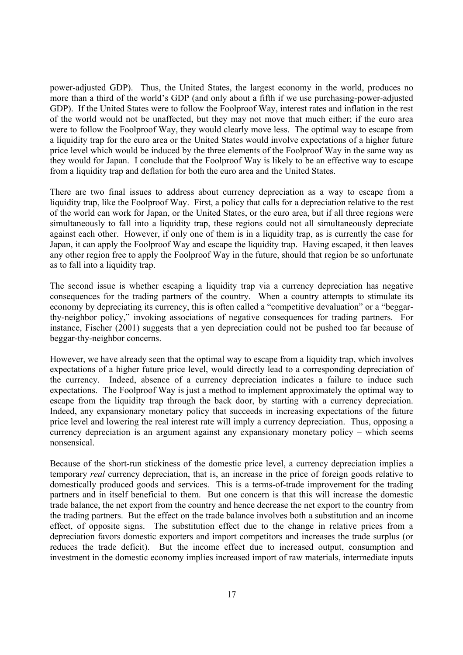power-adjusted GDP). Thus, the United States, the largest economy in the world, produces no more than a third of the world's GDP (and only about a fifth if we use purchasing-power-adjusted GDP). If the United States were to follow the Foolproof Way, interest rates and inflation in the rest of the world would not be unaffected, but they may not move that much either; if the euro area were to follow the Foolproof Way, they would clearly move less. The optimal way to escape from a liquidity trap for the euro area or the United States would involve expectations of a higher future price level which would be induced by the three elements of the Foolproof Way in the same way as they would for Japan. I conclude that the Foolproof Way is likely to be an effective way to escape from a liquidity trap and deflation for both the euro area and the United States.

There are two final issues to address about currency depreciation as a way to escape from a liquidity trap, like the Foolproof Way. First, a policy that calls for a depreciation relative to the rest of the world can work for Japan, or the United States, or the euro area, but if all three regions were simultaneously to fall into a liquidity trap, these regions could not all simultaneously depreciate against each other. However, if only one of them is in a liquidity trap, as is currently the case for Japan, it can apply the Foolproof Way and escape the liquidity trap. Having escaped, it then leaves any other region free to apply the Foolproof Way in the future, should that region be so unfortunate as to fall into a liquidity trap.

The second issue is whether escaping a liquidity trap via a currency depreciation has negative consequences for the trading partners of the country. When a country attempts to stimulate its economy by depreciating its currency, this is often called a "competitive devaluation" or a "beggarthy-neighbor policy," invoking associations of negative consequences for trading partners. For instance, Fischer (2001) suggests that a yen depreciation could not be pushed too far because of beggar-thy-neighbor concerns.

However, we have already seen that the optimal way to escape from a liquidity trap, which involves expectations of a higher future price level, would directly lead to a corresponding depreciation of the currency. Indeed, absence of a currency depreciation indicates a failure to induce such expectations. The Foolproof Way is just a method to implement approximately the optimal way to escape from the liquidity trap through the back door, by starting with a currency depreciation. Indeed, any expansionary monetary policy that succeeds in increasing expectations of the future price level and lowering the real interest rate will imply a currency depreciation. Thus, opposing a currency depreciation is an argument against any expansionary monetary policy – which seems nonsensical.

Because of the short-run stickiness of the domestic price level, a currency depreciation implies a temporary *real* currency depreciation, that is, an increase in the price of foreign goods relative to domestically produced goods and services. This is a terms-of-trade improvement for the trading partners and in itself beneficial to them. But one concern is that this will increase the domestic trade balance, the net export from the country and hence decrease the net export to the country from the trading partners. But the effect on the trade balance involves both a substitution and an income effect, of opposite signs. The substitution effect due to the change in relative prices from a depreciation favors domestic exporters and import competitors and increases the trade surplus (or reduces the trade deficit). But the income effect due to increased output, consumption and investment in the domestic economy implies increased import of raw materials, intermediate inputs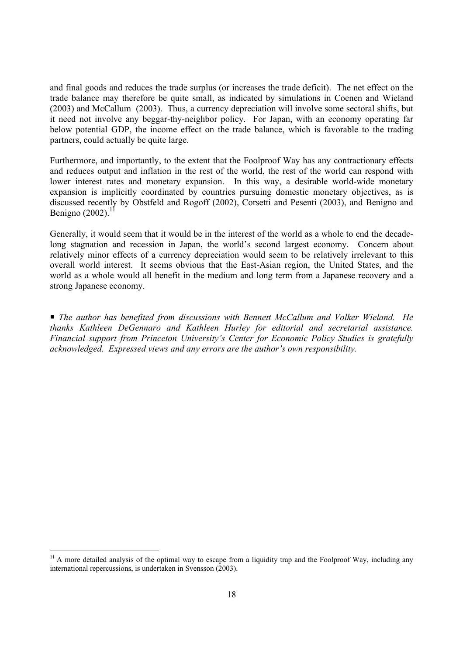and final goods and reduces the trade surplus (or increases the trade deficit). The net effect on the trade balance may therefore be quite small, as indicated by simulations in Coenen and Wieland (2003) and McCallum (2003). Thus, a currency depreciation will involve some sectoral shifts, but it need not involve any beggar-thy-neighbor policy. For Japan, with an economy operating far below potential GDP, the income effect on the trade balance, which is favorable to the trading partners, could actually be quite large.

Furthermore, and importantly, to the extent that the Foolproof Way has any contractionary effects and reduces output and inflation in the rest of the world, the rest of the world can respond with lower interest rates and monetary expansion. In this way, a desirable world-wide monetary expansion is implicitly coordinated by countries pursuing domestic monetary objectives, as is discussed recently by Obstfeld and Rogoff (2002), Corsetti and Pesenti (2003), and Benigno and Benigno  $(2002)$ .<sup>11</sup>

Generally, it would seem that it would be in the interest of the world as a whole to end the decadelong stagnation and recession in Japan, the world's second largest economy. Concern about relatively minor effects of a currency depreciation would seem to be relatively irrelevant to this overall world interest. It seems obvious that the East-Asian region, the United States, and the world as a whole would all benefit in the medium and long term from a Japanese recovery and a strong Japanese economy.

 *The author has benefited from discussions with Bennett McCallum and Volker Wieland. He thanks Kathleen DeGennaro and Kathleen Hurley for editorial and secretarial assistance. Financial support from Princeton University's Center for Economic Policy Studies is gratefully acknowledged. Expressed views and any errors are the author's own responsibility.* 

 $11$  A more detailed analysis of the optimal way to escape from a liquidity trap and the Foolproof Way, including any international repercussions, is undertaken in Svensson (2003).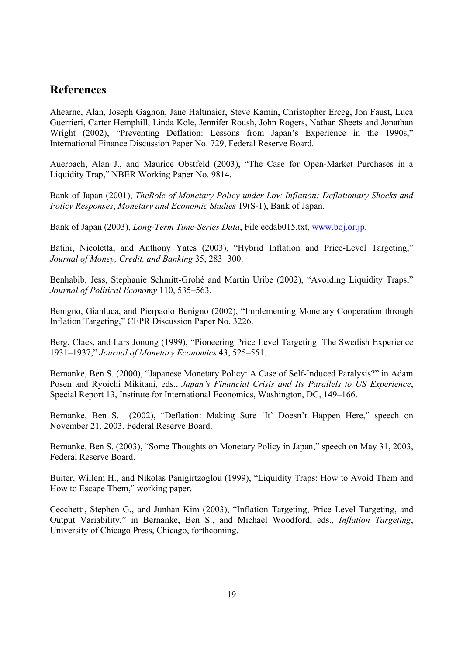### **References**

Ahearne, Alan, Joseph Gagnon, Jane Haltmaier, Steve Kamin, Christopher Erceg, Jon Faust, Luca Guerrieri, Carter Hemphill, Linda Kole, Jennifer Roush, John Rogers, Nathan Sheets and Jonathan Wright (2002), "Preventing Deflation: Lessons from Japan's Experience in the 1990s," International Finance Discussion Paper No. 729, Federal Reserve Board.

Auerbach, Alan J., and Maurice Obstfeld (2003), "The Case for Open-Market Purchases in a Liquidity Trap," NBER Working Paper No. 9814.

Bank of Japan (2001), *TheRole of Monetary Policy under Low Inflation: Deflationary Shocks and Policy Responses*, *Monetary and Economic Studies* 19(S-1), Bank of Japan.

Bank of Japan (2003), *Long-Term Time-Series Data*, File ecdab015.txt, www.boj.or.jp.

Batini, Nicoletta, and Anthony Yates (2003), "Hybrid Inflation and Price-Level Targeting," *Journal of Money, Credit, and Banking* 35, 283−300.

Benhabib, Jess, Stephanie Schmitt-Grohé and Martín Uribe (2002), "Avoiding Liquidity Traps," *Journal of Political Economy* 110, 535–563.

Benigno, Gianluca, and Pierpaolo Benigno (2002), "Implementing Monetary Cooperation through Inflation Targeting," CEPR Discussion Paper No. 3226.

Berg, Claes, and Lars Jonung (1999), "Pioneering Price Level Targeting: The Swedish Experience 1931–1937," *Journal of Monetary Economics* 43, 525–551.

Bernanke, Ben S. (2000), "Japanese Monetary Policy: A Case of Self-Induced Paralysis?" in Adam Posen and Ryoichi Mikitani, eds., *Japan's Financial Crisis and Its Parallels to US Experience*, Special Report 13, Institute for International Economics, Washington, DC, 149–166.

Bernanke, Ben S. (2002), "Deflation: Making Sure 'It' Doesn't Happen Here," speech on November 21, 2003, Federal Reserve Board.

Bernanke, Ben S. (2003), "Some Thoughts on Monetary Policy in Japan," speech on May 31, 2003, Federal Reserve Board.

Buiter, Willem H., and Nikolas Panigirtzoglou (1999), "Liquidity Traps: How to Avoid Them and How to Escape Them," working paper.

Cecchetti, Stephen G., and Junhan Kim (2003), "Inflation Targeting, Price Level Targeting, and Output Variability," in Bernanke, Ben S., and Michael Woodford, eds., *Inflation Targeting*, University of Chicago Press, Chicago, forthcoming.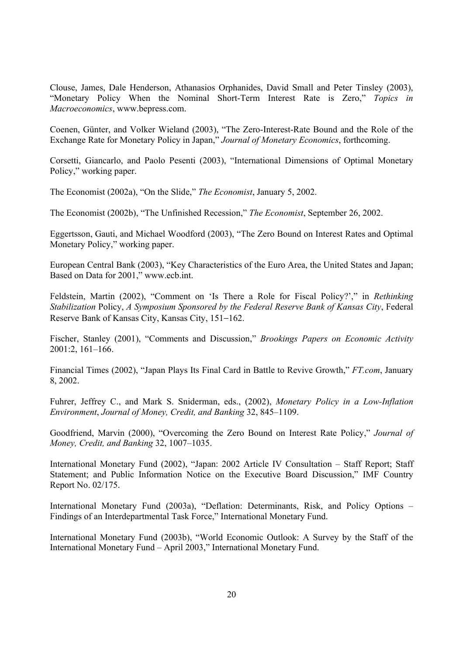Clouse, James, Dale Henderson, Athanasios Orphanides, David Small and Peter Tinsley (2003), "Monetary Policy When the Nominal Short-Term Interest Rate is Zero," *Topics in Macroeconomics*, www.bepress.com.

Coenen, Günter, and Volker Wieland (2003), "The Zero-Interest-Rate Bound and the Role of the Exchange Rate for Monetary Policy in Japan," *Journal of Monetary Economics*, forthcoming.

Corsetti, Giancarlo, and Paolo Pesenti (2003), "International Dimensions of Optimal Monetary Policy," working paper.

The Economist (2002a), "On the Slide," *The Economist*, January 5, 2002.

The Economist (2002b), "The Unfinished Recession," *The Economist*, September 26, 2002.

Eggertsson, Gauti, and Michael Woodford (2003), "The Zero Bound on Interest Rates and Optimal Monetary Policy," working paper.

European Central Bank (2003), "Key Characteristics of the Euro Area, the United States and Japan; Based on Data for 2001," www.ecb.int.

Feldstein, Martin (2002), "Comment on 'Is There a Role for Fiscal Policy?'," in *Rethinking Stabilization* Policy, *A Symposium Sponsored by the Federal Reserve Bank of Kansas City*, Federal Reserve Bank of Kansas City, Kansas City, 151−162.

Fischer, Stanley (2001), "Comments and Discussion," *Brookings Papers on Economic Activity*  2001:2, 161–166.

Financial Times (2002), "Japan Plays Its Final Card in Battle to Revive Growth," *FT.com*, January 8, 2002.

Fuhrer, Jeffrey C., and Mark S. Sniderman, eds., (2002), *Monetary Policy in a Low-Inflation Environment*, *Journal of Money, Credit, and Banking* 32, 845–1109.

Goodfriend, Marvin (2000), "Overcoming the Zero Bound on Interest Rate Policy," *Journal of Money, Credit, and Banking* 32, 1007–1035.

International Monetary Fund (2002), "Japan: 2002 Article IV Consultation – Staff Report; Staff Statement; and Public Information Notice on the Executive Board Discussion," IMF Country Report No. 02/175.

International Monetary Fund (2003a), "Deflation: Determinants, Risk, and Policy Options – Findings of an Interdepartmental Task Force," International Monetary Fund.

International Monetary Fund (2003b), "World Economic Outlook: A Survey by the Staff of the International Monetary Fund – April 2003," International Monetary Fund.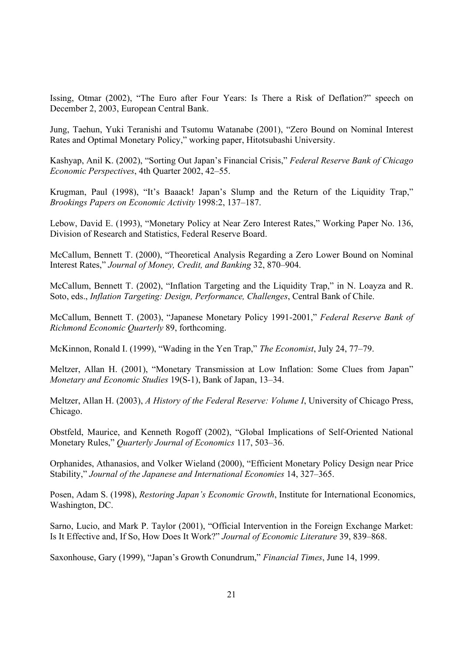Issing, Otmar (2002), "The Euro after Four Years: Is There a Risk of Deflation?" speech on December 2, 2003, European Central Bank.

Jung, Taehun, Yuki Teranishi and Tsutomu Watanabe (2001), "Zero Bound on Nominal Interest Rates and Optimal Monetary Policy," working paper, Hitotsubashi University.

Kashyap, Anil K. (2002), "Sorting Out Japan's Financial Crisis," *Federal Reserve Bank of Chicago Economic Perspectives*, 4th Quarter 2002, 42–55.

Krugman, Paul (1998), "It's Baaack! Japan's Slump and the Return of the Liquidity Trap," *Brookings Papers on Economic Activity* 1998:2, 137–187.

Lebow, David E. (1993), "Monetary Policy at Near Zero Interest Rates," Working Paper No. 136, Division of Research and Statistics, Federal Reserve Board.

McCallum, Bennett T. (2000), "Theoretical Analysis Regarding a Zero Lower Bound on Nominal Interest Rates," *Journal of Money, Credit, and Banking* 32, 870–904.

McCallum, Bennett T. (2002), "Inflation Targeting and the Liquidity Trap," in N. Loayza and R. Soto, eds., *Inflation Targeting: Design, Performance, Challenges*, Central Bank of Chile.

McCallum, Bennett T. (2003), "Japanese Monetary Policy 1991-2001," *Federal Reserve Bank of Richmond Economic Quarterly* 89, forthcoming.

McKinnon, Ronald I. (1999), "Wading in the Yen Trap," *The Economist*, July 24, 77–79.

Meltzer, Allan H. (2001), "Monetary Transmission at Low Inflation: Some Clues from Japan" *Monetary and Economic Studies* 19(S-1), Bank of Japan, 13–34.

Meltzer, Allan H. (2003), *A History of the Federal Reserve: Volume I*, University of Chicago Press, Chicago.

Obstfeld, Maurice, and Kenneth Rogoff (2002), "Global Implications of Self-Oriented National Monetary Rules," *Quarterly Journal of Economics* 117, 503–36.

Orphanides, Athanasios, and Volker Wieland (2000), "Efficient Monetary Policy Design near Price Stability," *Journal of the Japanese and International Economies* 14, 327–365.

Posen, Adam S. (1998), *Restoring Japan's Economic Growth*, Institute for International Economics, Washington, DC.

Sarno, Lucio, and Mark P. Taylor (2001), "Official Intervention in the Foreign Exchange Market: Is It Effective and, If So, How Does It Work?" *Journal of Economic Literature* 39, 839–868.

Saxonhouse, Gary (1999), "Japan's Growth Conundrum," *Financial Times*, June 14, 1999.